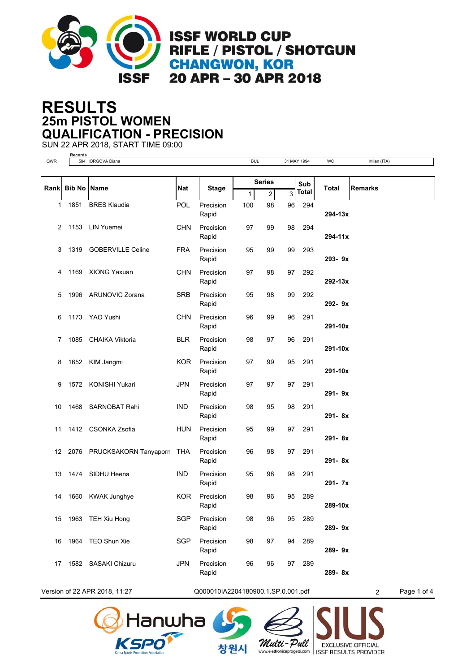

## **25m PISTOL WOMEN RESULTS QUALIFICATION - PRECISION**

SUN 22 APR 2018, START TIME 09:00

**Records**

| QWR  |                    | 594 IORGOVA Diana          |            |                    | <b>BUL</b>   |                       |    | 31 MAY 1994  | WC         | Milan (ITA)    |
|------|--------------------|----------------------------|------------|--------------------|--------------|-----------------------|----|--------------|------------|----------------|
|      |                    |                            |            |                    |              |                       |    |              |            |                |
|      |                    |                            |            |                    |              | <b>Series</b>         |    | Sub          |            |                |
| Rank | <b>Bib No Name</b> |                            | Nat        | <b>Stage</b>       | $\mathbf{1}$ | $\overline{2}$        | 3  | <b>Total</b> | Total      | <b>Remarks</b> |
| 1    | 1851               | <b>BRES Klaudia</b>        | <b>POL</b> | Precision<br>Rapid | 100          | 98                    | 96 | 294          | 294-13x    |                |
| 2    |                    | 1153 LIN Yuemei            | <b>CHN</b> | Precision          | 97           | 99                    | 98 | 294          |            |                |
|      |                    |                            |            | Rapid              |              | $\ddot{\phantom{a}}$  |    |              | 294-11x    |                |
| 3    | 1319               | <b>GOBERVILLE Celine</b>   | <b>FRA</b> | Precision          | 95           | 99                    | 99 | 293          |            |                |
|      |                    |                            |            | Rapid              |              | $\bar{a}$             |    |              | 293-9x     |                |
| 4    |                    | 1169 XIONG Yaxuan          | <b>CHN</b> | Precision<br>Rapid | 97           | 98<br>$\alpha$        | 97 | 292          | 292-13x    |                |
| 5    |                    | 1996 ARUNOVIC Zorana       | <b>SRB</b> | Precision          | 95           | 98                    | 99 | 292          |            |                |
|      |                    |                            |            | Rapid              |              | $\alpha$              |    |              | 292-9x     |                |
| 6    |                    | 1173 YAO Yushi             | <b>CHN</b> | Precision<br>Rapid | 96           | 99<br>$\alpha$        | 96 | 291          | 291-10x    |                |
| 7    |                    | 1085 CHAIKA Viktoria       | <b>BLR</b> | Precision          | 98           | 97                    | 96 | 291          |            |                |
|      |                    |                            |            | Rapid              |              | $\alpha$              |    |              | 291-10x    |                |
| 8    |                    | 1652 KIM Jangmi            | <b>KOR</b> | Precision<br>Rapid | 97           | 99                    | 95 | 291          | 291-10x    |                |
| 9    |                    | 1572 KONISHI Yukari        | <b>JPN</b> | Precision          | 97           | $\alpha$<br>97        | 97 | 291          |            |                |
|      |                    |                            |            | Rapid              |              |                       |    |              | $291 - 9x$ |                |
| 10   |                    | 1468 SARNOBAT Rahi         | <b>IND</b> | Precision<br>Rapid | 98           | 95                    | 98 | 291          | $291 - 8x$ |                |
| 11   |                    | 1412 CSONKA Zsofia         | <b>HUN</b> | Precision          | 95           | $\bar{a}$<br>99       | 97 | 291          |            |                |
|      |                    |                            |            | Rapid              |              | $\ddot{\phantom{a}}$  |    |              | $291 - 8x$ |                |
| 12   |                    | 2076 PRUCKSAKORN Tanyaporn | <b>THA</b> | Precision          | 96           | 98                    | 97 | 291          |            |                |
| 13   | 1474               | SIDHU Heena                | <b>IND</b> | Rapid<br>Precision | 95           | $\bar{z}$<br>98       | 98 | 291          | $291 - 8x$ |                |
|      |                    |                            |            | Rapid              |              | $\bar{a}$             |    |              | 291-7x     |                |
| 14   | 1660               | <b>KWAK Junghye</b>        | <b>KOR</b> | Precision          | 98           | 96                    | 95 | 289          |            |                |
|      |                    |                            |            | Rapid              |              | $\alpha$              |    |              | 289-10x    |                |
|      |                    | 15 1963 TEH Xiu Hong       | SGP        | Precision<br>Rapid | 98           | 96<br>$\sim$ $\alpha$ |    | 95 289       | 289-9x     |                |
| 16   |                    | 1964 TEO Shun Xie          | <b>SGP</b> | Precision          | 98           | 97                    | 94 | 289          |            |                |
|      |                    |                            |            | Rapid              |              | $\sim$ $\alpha$       |    |              | 289-9x     |                |
| 17   |                    | 1582 SASAKI Chizuru        | <b>JPN</b> | Precision<br>Rapid | 96           | 96<br>$\alpha$        | 97 | 289          | 289-8x     |                |
|      |                    |                            |            |                    |              |                       |    |              |            |                |

Version of 22 APR 2018, 11:27 Q000010IA2204180900.1.SP.0.001.pdf 2 Page 1 of 4

창원시







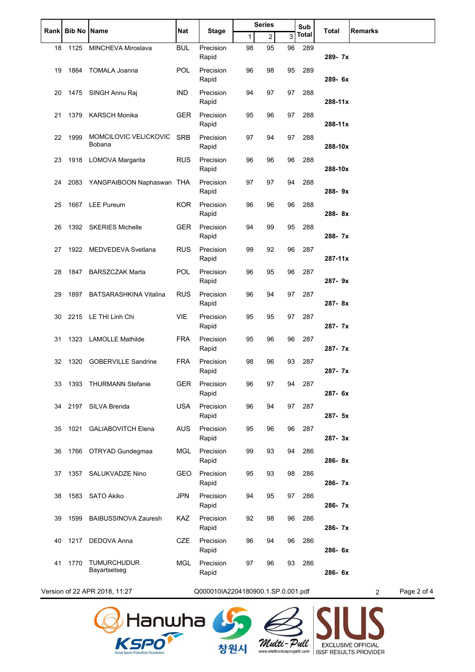|    | Rank   Bib No   Name |                                 | Nat        | <b>Stage</b>                       |    | <b>Series</b>              |    | Sub   | Total   | <b>Remarks</b>                |
|----|----------------------|---------------------------------|------------|------------------------------------|----|----------------------------|----|-------|---------|-------------------------------|
|    |                      |                                 |            |                                    | 1  | 2                          | 3  | Total |         |                               |
| 18 |                      | 1125 MINCHEVA Miroslava         | <b>BUL</b> | Precision<br>Rapid                 | 98 | 95                         | 96 | 289   | 289-7x  |                               |
| 19 |                      | 1864 TOMALA Joanna              | POL        | Precision<br>Rapid                 | 96 | 98<br>$\alpha$             | 95 | 289   | 289-6x  |                               |
| 20 |                      | 1475 SINGH Annu Raj             | IND        | Precision<br>Rapid                 | 94 | 97<br>$\bar{z}$            | 97 | 288   | 288-11x |                               |
| 21 |                      | 1379 KARSCH Monika              | GER        | Precision<br>Rapid                 | 95 | 96<br>$\alpha$             | 97 | 288   | 288-11x |                               |
| 22 | 1999                 | MOMCILOVIC VELICKOVIC<br>Bobana | <b>SRB</b> | Precision<br>Rapid                 | 97 | 94<br>$\alpha$             | 97 | 288   | 288-10x |                               |
| 23 |                      | 1918 LOMOVA Margarita           | <b>RUS</b> | Precision<br>Rapid                 | 96 | 96<br>$\bar{a}$            | 96 | 288   | 288-10x |                               |
| 24 |                      | 2083 YANGPAIBOON Naphaswan THA  |            | Precision<br>Rapid                 | 97 | 97<br>$\bar{z}$            | 94 | 288   | 288-9x  |                               |
| 25 |                      | 1667 LEE Pureum                 | KOR.       | Precision<br>Rapid                 | 96 | 96                         | 96 | 288   | 288-8x  |                               |
| 26 |                      | 1392 SKERIES Michelle           | GER        | Precision<br>Rapid                 | 94 | 99<br>$\ddot{\phantom{a}}$ | 95 | 288   | 288-7x  |                               |
| 27 |                      | 1922 MEDVEDEVA Svetlana         | RUS        | Precision<br>Rapid                 | 99 | 92<br>$\lambda$            | 96 | 287   | 287-11x |                               |
| 28 |                      | 1847 BARSZCZAK Marta            | <b>POL</b> | Precision<br>Rapid                 | 96 | 95                         | 96 | 287   | 287-9x  |                               |
| 29 | 1897                 | <b>BATSARASHKINA Vitalina</b>   | <b>RUS</b> | Precision<br>Rapid                 | 96 | 94<br>$\hat{\mathbf{r}}$   | 97 | 287   | 287-8x  |                               |
| 30 |                      | 2215 LE THI Linh Chi            | <b>VIE</b> | Precision<br>Rapid                 | 95 | 95<br>$\sim$               | 97 | 287   | 287-7x  |                               |
| 31 |                      | 1323 LAMOLLE Mathilde           | <b>FRA</b> | Precision<br>Rapid                 | 95 | 96<br>$\alpha$             | 96 | 287   | 287-7x  |                               |
| 32 | 1320                 | <b>GOBERVILLE Sandrine</b>      | FRA        | Precision<br>Rapid                 | 98 | 96<br>$\alpha$             | 93 | 287   | 287-7x  |                               |
| 33 |                      | 1393 THURMANN Stefanie          | <b>GER</b> | Precision<br>Rapid                 | 96 | 97<br>$\sim$               | 94 | 287   | 287- 6x |                               |
| 34 |                      | 2197 SILVA Brenda               | <b>USA</b> | Precision<br>Rapid                 | 96 | 94<br>$\sim$               | 97 | 287   | 287- 5x |                               |
| 35 |                      | 1021 GALIABOVITCH Elena         | <b>AUS</b> | Precision<br>Rapid                 | 95 | 96<br>$\alpha$             | 96 | 287   | 287-3x  |                               |
| 36 |                      | 1766 OTRYAD Gundegmaa           | MGL        | Precision<br>Rapid                 | 99 | 93<br>$\sim$ $\sim$        | 94 | 286   | 286-8x  |                               |
| 37 |                      | 1357 SALUKVADZE Nino            | GEO        | Precision<br>Rapid                 | 95 | 93<br>$\sim$               | 98 | 286   | 286-7x  |                               |
| 38 |                      | 1583 SATO Akiko                 | <b>JPN</b> | Precision<br>Rapid                 | 94 | 95<br>$\alpha$             | 97 | 286   | 286-7x  |                               |
| 39 | 1599                 | <b>BAIBUSSINOVA Zauresh</b>     | KAZ        | Precision<br>Rapid                 | 92 | 98<br>$\sim$ $\alpha$      | 96 | 286   | 286-7x  |                               |
| 40 |                      | 1217 DEDOVA Anna                | <b>CZE</b> | Precision<br>Rapid                 | 96 | 94<br>$\sim$               | 96 | 286   | 286-6x  |                               |
| 41 | 1770                 | TUMURCHUDUR<br>Bayartsetseg     | <b>MGL</b> | Precision<br>Rapid                 | 97 | 96<br>$\hat{\mathbf{r}}$   | 93 | 286   | 286-6x  |                               |
|    |                      | Version of 22 APR 2018, 11:27   |            | Q000010IA2204180900.1.SP.0.001.pdf |    |                            |    |       |         | Page 2 of 4<br>$\overline{2}$ |





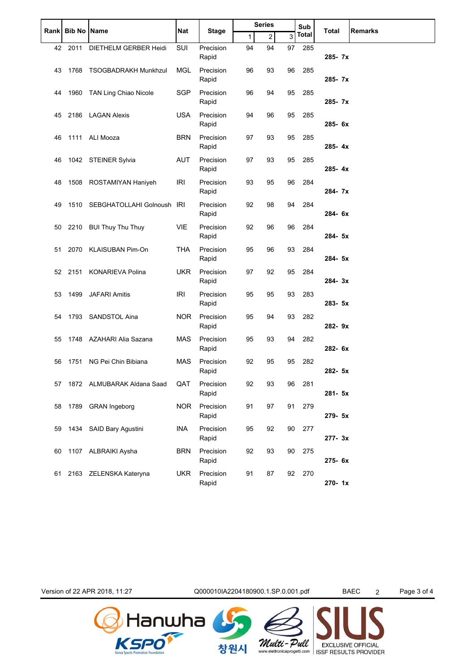|       |               |                             |            |                    |              | <b>Series</b>              |    | Sub          | Total      |                |
|-------|---------------|-----------------------------|------------|--------------------|--------------|----------------------------|----|--------------|------------|----------------|
| Rankl | <b>Bib No</b> | Name                        | Nat        | <b>Stage</b>       | $\mathbf{1}$ | 2                          | 3  | <b>Total</b> |            | <b>Remarks</b> |
| 42    | 2011          | DIETHELM GERBER Heidi       | SUI        | Precision<br>Rapid | 94           | 94<br>$\hat{\mathbf{r}}$   | 97 | 285          | 285- 7x    |                |
| 43    | 1768          | <b>TSOGBADRAKH Munkhzul</b> | <b>MGL</b> | Precision<br>Rapid | 96           | 93<br>$\alpha$             | 96 | 285          | 285- 7x    |                |
| 44    |               | 1960 TAN Ling Chiao Nicole  | <b>SGP</b> | Precision<br>Rapid | 96           | 94<br>$\hat{\mathbf{r}}$   | 95 | 285          | 285-7x     |                |
| 45    | 2186          | <b>LAGAN Alexis</b>         | <b>USA</b> | Precision<br>Rapid | 94           | 96<br>$\hat{\mathbf{r}}$   | 95 | 285          | $285 - 6x$ |                |
| 46    | 1111          | ALI Mooza                   | <b>BRN</b> | Precision<br>Rapid | 97           | 93<br>$\bar{z}$            | 95 | 285          | $285 - 4x$ |                |
| 46    |               | 1042 STEINER Sylvia         | <b>AUT</b> | Precision<br>Rapid | 97           | 93<br>$\ddot{\phantom{a}}$ | 95 | 285          | $285 - 4x$ |                |
| 48    |               | 1508 ROSTAMIYAN Haniyeh     | <b>IRI</b> | Precision<br>Rapid | 93           | 95<br>$\ddot{\phantom{a}}$ | 96 | 284          | 284-7x     |                |
| 49    | 1510          | SEBGHATOLLAHI Golnoush IRI  |            | Precision<br>Rapid | 92           | 98<br>$\bar{z}$            | 94 | 284          | 284- 6x    |                |
| 50    |               | 2210 BUI Thuy Thu Thuy      | <b>VIE</b> | Precision<br>Rapid | 92           | 96<br>$\ddot{\phantom{a}}$ | 96 | 284          | 284- 5x    |                |
| 51    | 2070          | <b>KLAISUBAN Pim-On</b>     | THA        | Precision<br>Rapid | 95           | 96<br>$\hat{\mathbf{r}}$   | 93 | 284          | 284- 5x    |                |
| 52    | 2151          | <b>KONARIEVA Polina</b>     | <b>UKR</b> | Precision<br>Rapid | 97           | 92<br>$\hat{\mathbf{r}}$   | 95 | 284          | $284 - 3x$ |                |
| 53    | 1499          | <b>JAFARI Amitis</b>        | <b>IRI</b> | Precision<br>Rapid | 95           | 95<br>$\alpha$             | 93 | 283          | $283 - 5x$ |                |
| 54    | 1793          | <b>SANDSTOL Aina</b>        | <b>NOR</b> | Precision<br>Rapid | 95           | 94<br>$\hat{\mathbf{r}}$   | 93 | 282          | $282 - 9x$ |                |
| 55    | 1748          | AZAHARI Alia Sazana         | <b>MAS</b> | Precision<br>Rapid | 95           | 93<br>$\hat{\mathbf{r}}$   | 94 | 282          | 282- 6x    |                |
| 56    | 1751          | NG Pei Chin Bibiana         | <b>MAS</b> | Precision<br>Rapid | 92           | 95                         | 95 | 282          | $282 - 5x$ |                |
| 57    |               | 1872 ALMUBARAK Aldana Saad  | QAT        | Precision<br>Rapid | 92           | 93<br>$\bar{z}$            | 96 | 281          | 281- 5x    |                |
| 58    |               | 1789 GRAN Ingeborg          | NOR.       | Precision<br>Rapid | 91           | 97<br>$\sim$               | 91 | 279          | 279- 5x    |                |
| 59    |               | 1434 SAID Bary Agustini     | INA        | Precision<br>Rapid | 95           | 92<br>$\sim$ $\sim$        | 90 | 277          | 277-3x     |                |
| 60    |               | 1107 ALBRAIKI Aysha         | <b>BRN</b> | Precision<br>Rapid | 92           | 93<br>$\ddot{\phantom{a}}$ | 90 | 275          | 275-6x     |                |
| 61    |               | 2163 ZELENSKA Kateryna      | <b>UKR</b> | Precision<br>Rapid | 91           | 87<br>$\epsilon$           | 92 | 270          | 270-1x     |                |

Version of 22 APR 2018, 11:27 Q000010IA2204180900.1.SP.0.001.pdf BAEC 2 Page 3 of 4

Walti-Pall EXCLUSIVE OFFICIAL